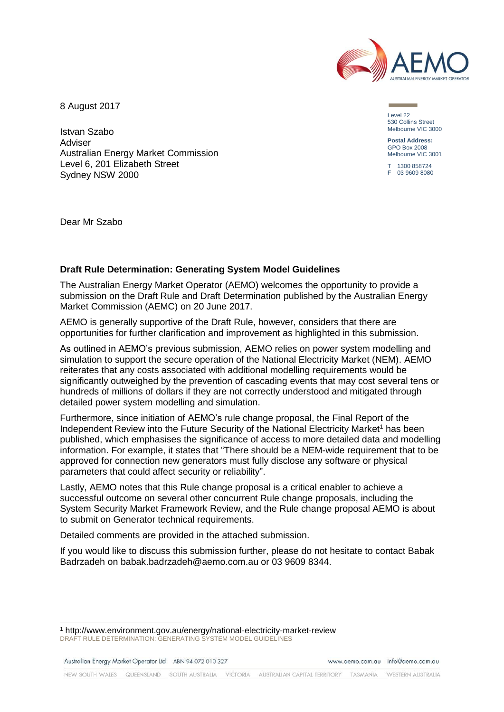

8 August 2017

Istvan Szabo Adviser Australian Energy Market Commission Level 6, 201 Elizabeth Street Sydney NSW 2000

Level 22 530 Collins Street Melbourne VIC 3000

**Postal Address:** GPO Box 2008 Melbourne VIC 3001

T 1300 858724 F 03 9609 8080

Dear Mr Szabo

# **Draft Rule Determination: Generating System Model Guidelines**

The Australian Energy Market Operator (AEMO) welcomes the opportunity to provide a submission on the Draft Rule and Draft Determination published by the Australian Energy Market Commission (AEMC) on 20 June 2017.

AEMO is generally supportive of the Draft Rule, however, considers that there are opportunities for further clarification and improvement as highlighted in this submission.

As outlined in AEMO's previous submission, AEMO relies on power system modelling and simulation to support the secure operation of the National Electricity Market (NEM). AEMO reiterates that any costs associated with additional modelling requirements would be significantly outweighed by the prevention of cascading events that may cost several tens or hundreds of millions of dollars if they are not correctly understood and mitigated through detailed power system modelling and simulation.

Furthermore, since initiation of AEMO's rule change proposal, the Final Report of the Independent Review into the Future Security of the National Electricity Market<sup>1</sup> has been published, which emphasises the significance of access to more detailed data and modelling information. For example, it states that "There should be a NEM-wide requirement that to be approved for connection new generators must fully disclose any software or physical parameters that could affect security or reliability".

Lastly, AEMO notes that this Rule change proposal is a critical enabler to achieve a successful outcome on several other concurrent Rule change proposals, including the System Security Market Framework Review, and the Rule change proposal AEMO is about to submit on Generator technical requirements.

Detailed comments are provided in the attached submission.

If you would like to discuss this submission further, please do not hesitate to contact Babak Badrzadeh on babak.badrzadeh@aemo.com.au or 03 9609 8344.

Australian Energy Market Operator Ltd ABN 94 072 010 327

l

www.gemo.com.gu info@gemo.com.gu

DRAFT RULE DETERMINATION: GENERATING SYSTEM MODEL GUIDELINES <sup>1</sup> http://www.environment.gov.au/energy/national-electricity-market-review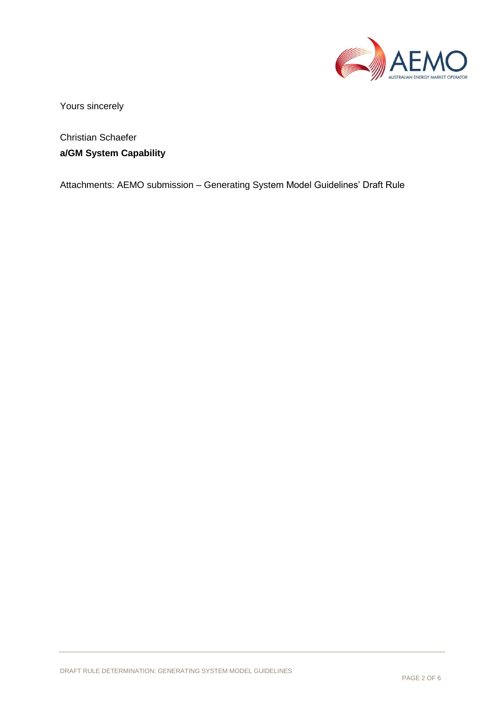

Yours sincerely

Christian Schaefer **a/GM System Capability** 

Attachments: AEMO submission – Generating System Model Guidelines' Draft Rule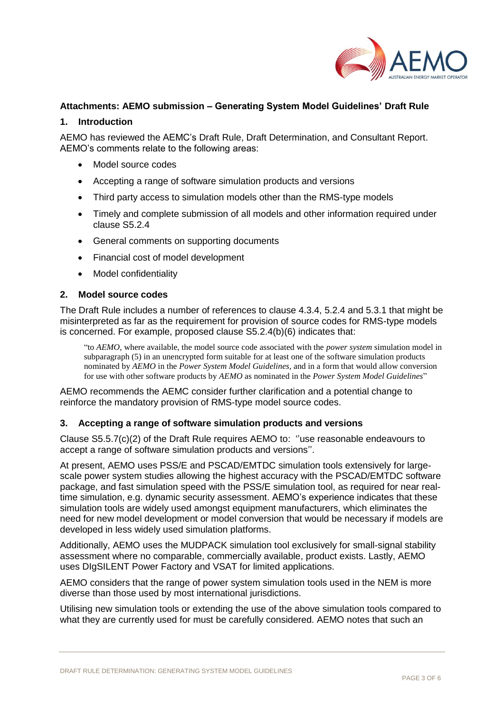

# **Attachments: AEMO submission – Generating System Model Guidelines' Draft Rule**

#### **1. Introduction**

AEMO has reviewed the AEMC's Draft Rule, Draft Determination, and Consultant Report. AEMO's comments relate to the following areas:

- Model source codes
- Accepting a range of software simulation products and versions
- Third party access to simulation models other than the RMS-type models
- Timely and complete submission of all models and other information required under clause S5.2.4
- General comments on supporting documents
- Financial cost of model development
- Model confidentiality

#### **2. Model source codes**

The Draft Rule includes a number of references to clause 4.3.4, 5.2.4 and 5.3.1 that might be misinterpreted as far as the requirement for provision of source codes for RMS-type models is concerned. For example, proposed clause S5.2.4(b)(6) indicates that:

"to *AEMO*, where available, the model source code associated with the *power system* simulation model in subparagraph (5) in an unencrypted form suitable for at least one of the software simulation products nominated by *AEMO* in the *Power System Model Guidelines*, and in a form that would allow conversion for use with other software products by *AEMO* as nominated in the *Power System Model Guidelines*"

AEMO recommends the AEMC consider further clarification and a potential change to reinforce the mandatory provision of RMS-type model source codes.

#### **3. Accepting a range of software simulation products and versions**

Clause S5.5.7(c)(2) of the Draft Rule requires AEMO to: ''use reasonable endeavours to accept a range of software simulation products and versions''.

At present, AEMO uses PSS/E and PSCAD/EMTDC simulation tools extensively for largescale power system studies allowing the highest accuracy with the PSCAD/EMTDC software package, and fast simulation speed with the PSS/E simulation tool, as required for near realtime simulation, e.g. dynamic security assessment. AEMO's experience indicates that these simulation tools are widely used amongst equipment manufacturers, which eliminates the need for new model development or model conversion that would be necessary if models are developed in less widely used simulation platforms.

Additionally, AEMO uses the MUDPACK simulation tool exclusively for small-signal stability assessment where no comparable, commercially available, product exists. Lastly, AEMO uses DIgSILENT Power Factory and VSAT for limited applications.

AEMO considers that the range of power system simulation tools used in the NEM is more diverse than those used by most international jurisdictions.

Utilising new simulation tools or extending the use of the above simulation tools compared to what they are currently used for must be carefully considered. AEMO notes that such an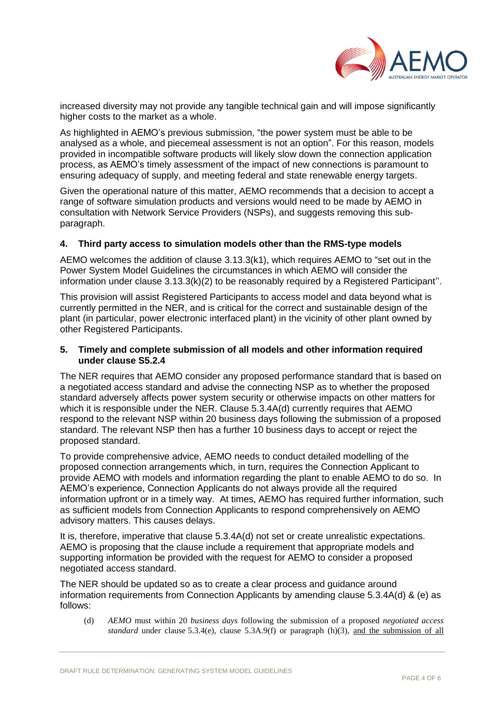

increased diversity may not provide any tangible technical gain and will impose significantly higher costs to the market as a whole.

As highlighted in AEMO's previous submission, "the power system must be able to be analysed as a whole, and piecemeal assessment is not an option". For this reason, models provided in incompatible software products will likely slow down the connection application process, as AEMO's timely assessment of the impact of new connections is paramount to ensuring adequacy of supply, and meeting federal and state renewable energy targets.

Given the operational nature of this matter, AEMO recommends that a decision to accept a range of software simulation products and versions would need to be made by AEMO in consultation with Network Service Providers (NSPs), and suggests removing this subparagraph.

### **4. Third party access to simulation models other than the RMS-type models**

AEMO welcomes the addition of clause 3.13.3(k1), which requires AEMO to "set out in the Power System Model Guidelines the circumstances in which AEMO will consider the information under clause 3.13.3(k)(2) to be reasonably required by a Registered Participant''.

This provision will assist Registered Participants to access model and data beyond what is currently permitted in the NER, and is critical for the correct and sustainable design of the plant (in particular, power electronic interfaced plant) in the vicinity of other plant owned by other Registered Participants.

#### **5. Timely and complete submission of all models and other information required under clause S5.2.4**

The NER requires that AEMO consider any proposed performance standard that is based on a negotiated access standard and advise the connecting NSP as to whether the proposed standard adversely affects power system security or otherwise impacts on other matters for which it is responsible under the NER. Clause 5.3.4A(d) currently requires that AEMO respond to the relevant NSP within 20 business days following the submission of a proposed standard. The relevant NSP then has a further 10 business days to accept or reject the proposed standard.

To provide comprehensive advice, AEMO needs to conduct detailed modelling of the proposed connection arrangements which, in turn, requires the Connection Applicant to provide AEMO with models and information regarding the plant to enable AEMO to do so. In AEMO's experience, Connection Applicants do not always provide all the required information upfront or in a timely way. At times, AEMO has required further information, such as sufficient models from Connection Applicants to respond comprehensively on AEMO advisory matters. This causes delays.

It is, therefore, imperative that clause 5.3.4A(d) not set or create unrealistic expectations. AEMO is proposing that the clause include a requirement that appropriate models and supporting information be provided with the request for AEMO to consider a proposed negotiated access standard.

The NER should be updated so as to create a clear process and guidance around information requirements from Connection Applicants by amending clause 5.3.4A(d) & (e) as follows:

(d) *AEMO* must within 20 *business days* following the submission of a proposed *negotiated access standard* under clause 5.3.4(e), clause 5.3A.9(f) or paragraph (h)(3), and the submission of all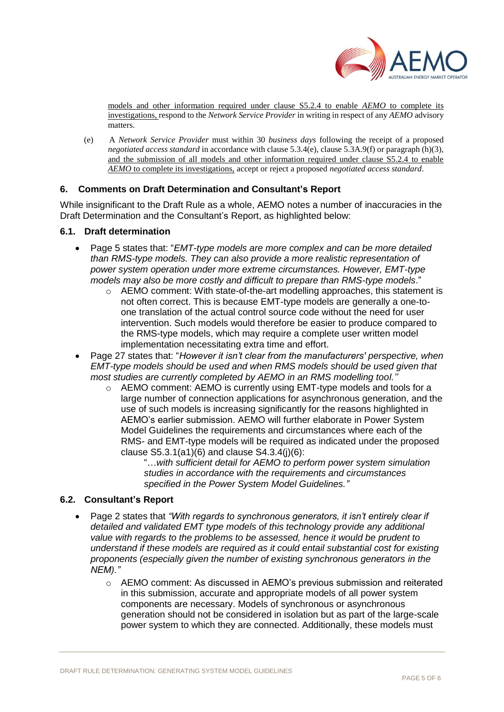

models and other information required under clause S5.2.4 to enable *AEMO* to complete its investigations, respond to the *Network Service Provider* in writing in respect of any *AEMO* advisory matters.

(e) A *Network Service Provider* must within 30 *business days* following the receipt of a proposed *negotiated access standard* in accordance with clause 5.3.4(e), clause 5.3A.9(f) or paragraph (h)(3), and the submission of all models and other information required under clause S5.2.4 to enable *AEMO* to complete its investigations, accept or reject a proposed *negotiated access standard*.

### **6. Comments on Draft Determination and Consultant's Report**

While insignificant to the Draft Rule as a whole, AEMO notes a number of inaccuracies in the Draft Determination and the Consultant's Report, as highlighted below:

#### **6.1. Draft determination**

- Page 5 states that: "*EMT-type models are more complex and can be more detailed than RMS-type models. They can also provide a more realistic representation of power system operation under more extreme circumstances. However, EMT-type models may also be more costly and difficult to prepare than RMS-type models*."
	- o AEMO comment: With state-of-the-art modelling approaches, this statement is not often correct. This is because EMT-type models are generally a one-toone translation of the actual control source code without the need for user intervention. Such models would therefore be easier to produce compared to the RMS-type models, which may require a complete user written model implementation necessitating extra time and effort.
- Page 27 states that: "*However it isn't clear from the manufacturers' perspective, when EMT-type models should be used and when RMS models should be used given that most studies are currently completed by AEMO in an RMS modelling tool.''*
	- o AEMO comment: AEMO is currently using EMT-type models and tools for a large number of connection applications for asynchronous generation, and the use of such models is increasing significantly for the reasons highlighted in AEMO's earlier submission. AEMO will further elaborate in Power System Model Guidelines the requirements and circumstances where each of the RMS- and EMT-type models will be required as indicated under the proposed clause  $S5.3.1(a1)(6)$  and clause  $S4.3.4(i)(6)$ :

"…*with sufficient detail for AEMO to perform power system simulation studies in accordance with the requirements and circumstances specified in the Power System Model Guidelines."*

#### **6.2. Consultant's Report**

- Page 2 states that *"With regards to synchronous generators, it isn't entirely clear if detailed and validated EMT type models of this technology provide any additional value with regards to the problems to be assessed, hence it would be prudent to understand if these models are required as it could entail substantial cost for existing proponents (especially given the number of existing synchronous generators in the NEM)."*
	- o AEMO comment: As discussed in AEMO's previous submission and reiterated in this submission, accurate and appropriate models of all power system components are necessary. Models of synchronous or asynchronous generation should not be considered in isolation but as part of the large-scale power system to which they are connected. Additionally, these models must